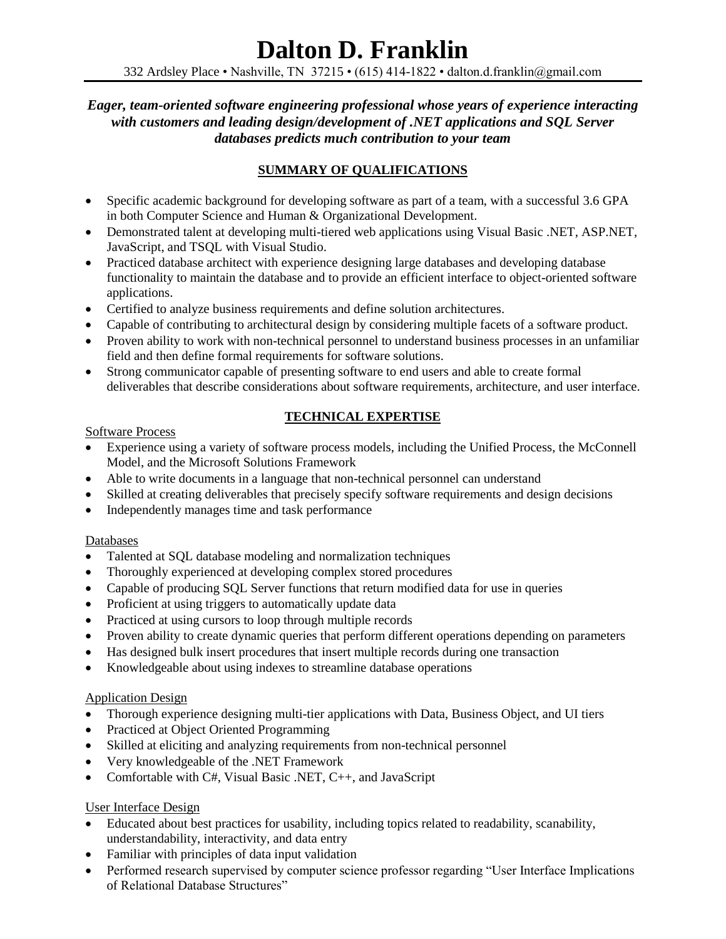332 Ardsley Place • Nashville, TN 37215 • (615) 414-1822 • dalton.d.franklin@gmail.com

## *Eager, team-oriented software engineering professional whose years of experience interacting with customers and leading design/development of .NET applications and SQL Server databases predicts much contribution to your team*

# **SUMMARY OF QUALIFICATIONS**

- Specific academic background for developing software as part of a team, with a successful 3.6 GPA in both Computer Science and Human & Organizational Development.
- Demonstrated talent at developing multi-tiered web applications using Visual Basic .NET, ASP.NET, JavaScript, and TSQL with Visual Studio.
- Practiced database architect with experience designing large databases and developing database functionality to maintain the database and to provide an efficient interface to object-oriented software applications.
- Certified to analyze business requirements and define solution architectures.
- Capable of contributing to architectural design by considering multiple facets of a software product.
- Proven ability to work with non-technical personnel to understand business processes in an unfamiliar field and then define formal requirements for software solutions.
- Strong communicator capable of presenting software to end users and able to create formal deliverables that describe considerations about software requirements, architecture, and user interface.

# **TECHNICAL EXPERTISE**

### Software Process

- Experience using a variety of software process models, including the Unified Process, the McConnell Model, and the Microsoft Solutions Framework
- Able to write documents in a language that non-technical personnel can understand
- Skilled at creating deliverables that precisely specify software requirements and design decisions
- Independently manages time and task performance

### Databases

- Talented at SOL database modeling and normalization techniques
- Thoroughly experienced at developing complex stored procedures
- Capable of producing SQL Server functions that return modified data for use in queries
- Proficient at using triggers to automatically update data
- Practiced at using cursors to loop through multiple records
- Proven ability to create dynamic queries that perform different operations depending on parameters
- Has designed bulk insert procedures that insert multiple records during one transaction
- Knowledgeable about using indexes to streamline database operations

## Application Design

- Thorough experience designing multi-tier applications with Data, Business Object, and UI tiers
- Practiced at Object Oriented Programming
- Skilled at eliciting and analyzing requirements from non-technical personnel
- Very knowledgeable of the .NET Framework
- Comfortable with C#, Visual Basic .NET, C++, and JavaScript

## User Interface Design

- Educated about best practices for usability, including topics related to readability, scanability, understandability, interactivity, and data entry
- Familiar with principles of data input validation
- Performed research supervised by computer science professor regarding "User Interface Implications of Relational Database Structures"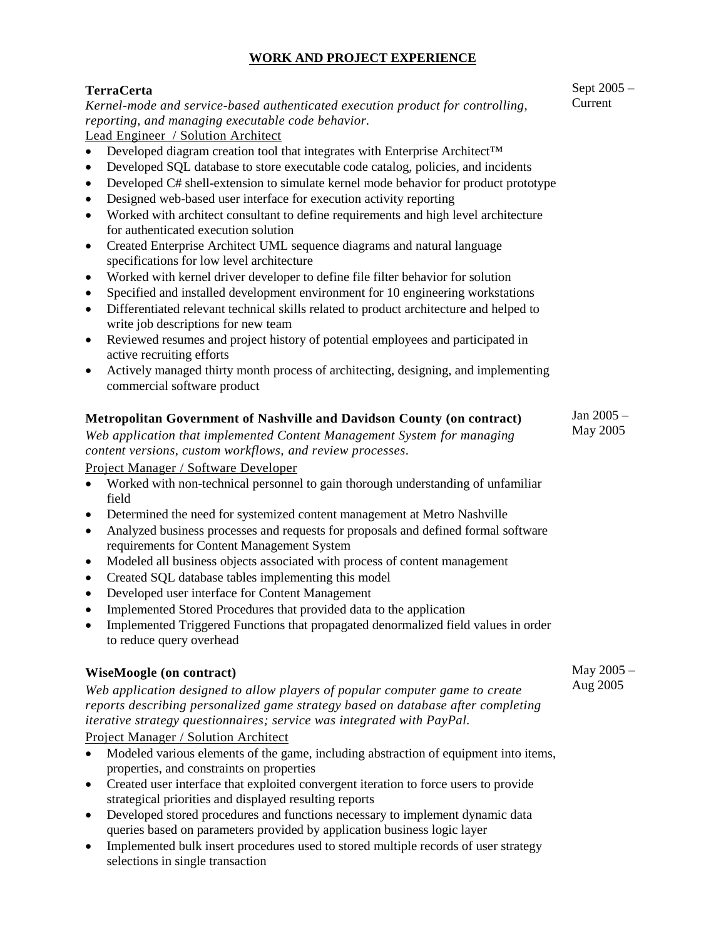## **WORK AND PROJECT EXPERIENCE**

# **TerraCerta**

*Kernel-mode and service-based authenticated execution product for controlling, reporting, and managing executable code behavior.*

Lead Engineer / Solution Architect

- Developed diagram creation tool that integrates with Enterprise Architect™
- Developed SQL database to store executable code catalog, policies, and incidents
- Developed C# shell-extension to simulate kernel mode behavior for product prototype
- Designed web-based user interface for execution activity reporting
- Worked with architect consultant to define requirements and high level architecture for authenticated execution solution
- Created Enterprise Architect UML sequence diagrams and natural language specifications for low level architecture
- Worked with kernel driver developer to define file filter behavior for solution
- Specified and installed development environment for 10 engineering workstations
- Differentiated relevant technical skills related to product architecture and helped to write job descriptions for new team
- Reviewed resumes and project history of potential employees and participated in active recruiting efforts
- Actively managed thirty month process of architecting, designing, and implementing commercial software product

#### **Metropolitan Government of Nashville and Davidson County (on contract)** Jan 2005 – May 2005

*Web application that implemented Content Management System for managing content versions, custom workflows, and review processes.*

Project Manager / Software Developer

- Worked with non-technical personnel to gain thorough understanding of unfamiliar field
- Determined the need for systemized content management at Metro Nashville
- Analyzed business processes and requests for proposals and defined formal software requirements for Content Management System
- Modeled all business objects associated with process of content management
- Created SQL database tables implementing this model
- Developed user interface for Content Management
- Implemented Stored Procedures that provided data to the application
- Implemented Triggered Functions that propagated denormalized field values in order to reduce query overhead

### **WiseMoogle (on contract)**

*Web application designed to allow players of popular computer game to create reports describing personalized game strategy based on database after completing iterative strategy questionnaires; service was integrated with PayPal.*

Project Manager / Solution Architect

- Modeled various elements of the game, including abstraction of equipment into items, properties, and constraints on properties
- Created user interface that exploited convergent iteration to force users to provide strategical priorities and displayed resulting reports
- Developed stored procedures and functions necessary to implement dynamic data queries based on parameters provided by application business logic layer
- Implemented bulk insert procedures used to stored multiple records of user strategy selections in single transaction

Sept 2005 – Current

May 2005 – Aug 2005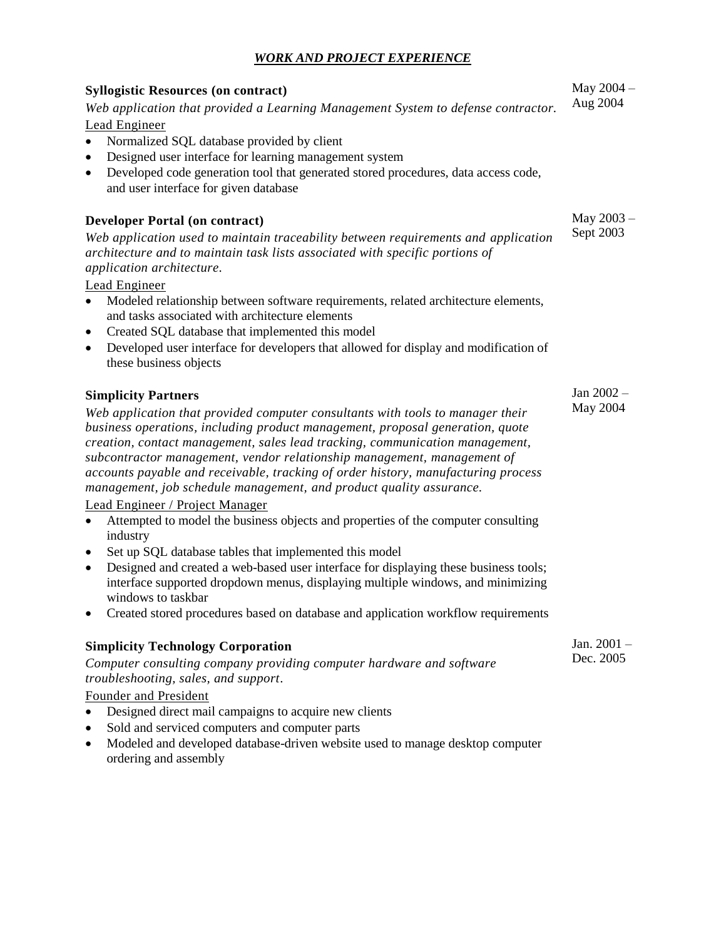### *WORK AND PROJECT EXPERIENCE*

# **Syllogistic Resources (on contract)** *Web application that provided a Learning Management System to defense contractor.* Lead Engineer Normalized SQL database provided by client Designed user interface for learning management system Developed code generation tool that generated stored procedures, data access code, and user interface for given database

#### **Developer Portal (on contract)**

*Web application used to maintain traceability between requirements and application architecture and to maintain task lists associated with specific portions of application architecture.*

Lead Engineer

- Modeled relationship between software requirements, related architecture elements, and tasks associated with architecture elements
- Created SQL database that implemented this model
- Developed user interface for developers that allowed for display and modification of these business objects

#### **Simplicity Partners**

*Web application that provided computer consultants with tools to manager their business operations, including product management, proposal generation, quote creation, contact management, sales lead tracking, communication management, subcontractor management, vendor relationship management, management of accounts payable and receivable, tracking of order history, manufacturing process management, job schedule management, and product quality assurance.*

#### Lead Engineer / Project Manager

- Attempted to model the business objects and properties of the computer consulting industry
- Set up SQL database tables that implemented this model
- Designed and created a web-based user interface for displaying these business tools; interface supported dropdown menus, displaying multiple windows, and minimizing windows to taskbar
- Created stored procedures based on database and application workflow requirements

### **Simplicity Technology Corporation** *Computer consulting company providing computer hardware and software troubleshooting, sales, and support.*

# Founder and President

- Designed direct mail campaigns to acquire new clients
- Sold and serviced computers and computer parts
- Modeled and developed database-driven website used to manage desktop computer ordering and assembly

May 2004 – Aug 2004

May 2003 – Sept 2003

Jan 2002 – May 2004

Jan. 2001 – Dec. 2005